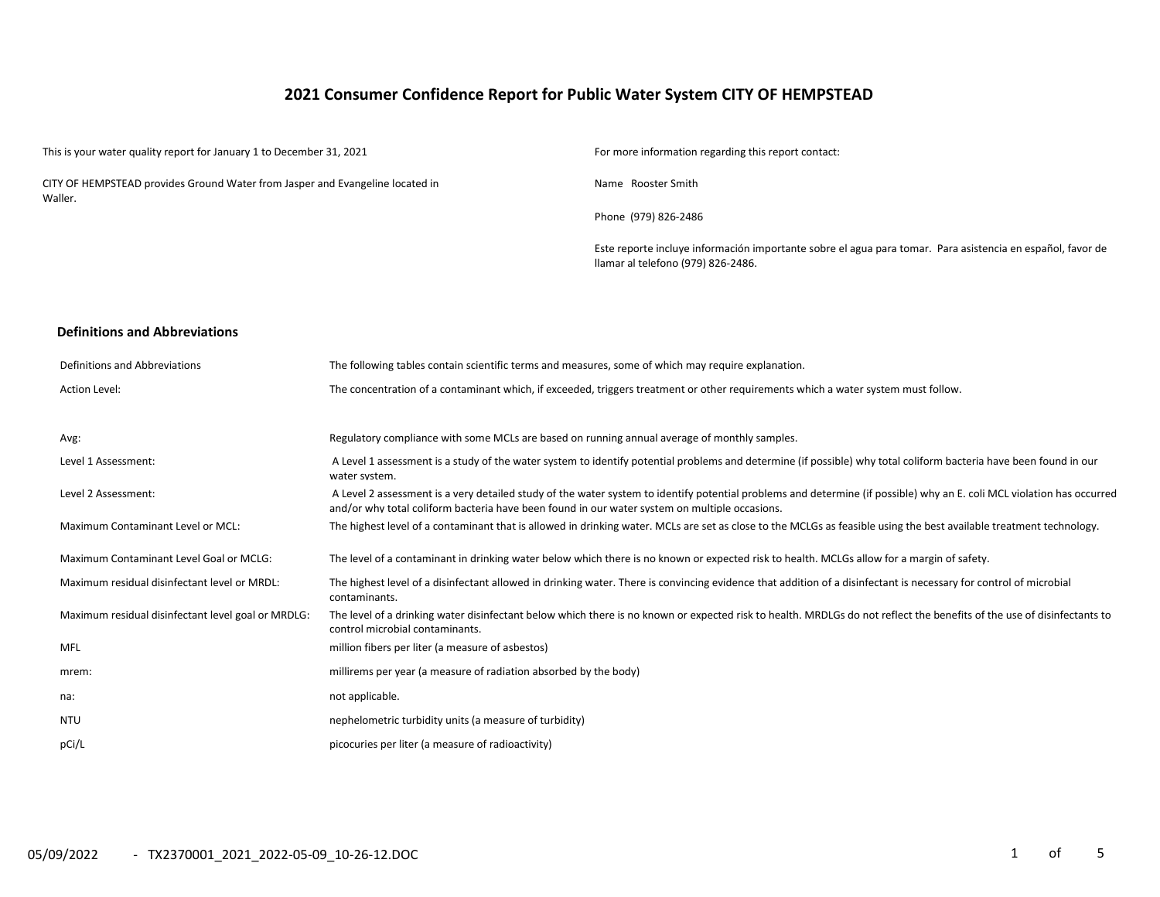## **2021 Consumer Confidence Report for Public Water System CITY OF HEMPSTEAD**

| This is your water quality report for January 1 to December 31, 2021                     | For more information regarding this report contact:                                                                                              |
|------------------------------------------------------------------------------------------|--------------------------------------------------------------------------------------------------------------------------------------------------|
| CITY OF HEMPSTEAD provides Ground Water from Jasper and Evangeline located in<br>Waller. | Name Rooster Smith                                                                                                                               |
|                                                                                          | Phone (979) 826-2486                                                                                                                             |
|                                                                                          | Este reporte incluye información importante sobre el agua para tomar. Para asistencia en español, favor de<br>llamar al telefono (979) 826-2486. |
| <b>Definitions and Abbreviations</b>                                                     |                                                                                                                                                  |
| Definitions and Abbreviations                                                            | The following tables contain scientific terms and measures, some of which may require explanation.                                               |
| Action Level:                                                                            | The concentration of a contaminant which, if exceeded, triggers treatment or other requirements which a water system must follow.                |

| Avg:                                               | Regulatory compliance with some MCLs are based on running annual average of monthly samples.                                                                                                                                                                            |
|----------------------------------------------------|-------------------------------------------------------------------------------------------------------------------------------------------------------------------------------------------------------------------------------------------------------------------------|
| Level 1 Assessment:                                | A Level 1 assessment is a study of the water system to identify potential problems and determine (if possible) why total coliform bacteria have been found in our<br>water system.                                                                                      |
| Level 2 Assessment:                                | A Level 2 assessment is a very detailed study of the water system to identify potential problems and determine (if possible) why an E. coli MCL violation has occurred<br>and/or why total coliform bacteria have been found in our water system on multiple occasions. |
| Maximum Contaminant Level or MCL:                  | The highest level of a contaminant that is allowed in drinking water. MCLs are set as close to the MCLGs as feasible using the best available treatment technology.                                                                                                     |
| Maximum Contaminant Level Goal or MCLG:            | The level of a contaminant in drinking water below which there is no known or expected risk to health. MCLGs allow for a margin of safety.                                                                                                                              |
| Maximum residual disinfectant level or MRDL:       | The highest level of a disinfectant allowed in drinking water. There is convincing evidence that addition of a disinfectant is necessary for control of microbial<br>contaminants.                                                                                      |
| Maximum residual disinfectant level goal or MRDLG: | The level of a drinking water disinfectant below which there is no known or expected risk to health. MRDLGs do not reflect the benefits of the use of disinfectants to<br>control microbial contaminants.                                                               |
| MFL                                                | million fibers per liter (a measure of asbestos)                                                                                                                                                                                                                        |
| mrem:                                              | millirems per year (a measure of radiation absorbed by the body)                                                                                                                                                                                                        |
| na:                                                | not applicable.                                                                                                                                                                                                                                                         |
| <b>NTU</b>                                         | nephelometric turbidity units (a measure of turbidity)                                                                                                                                                                                                                  |
| pCi/L                                              | picocuries per liter (a measure of radioactivity)                                                                                                                                                                                                                       |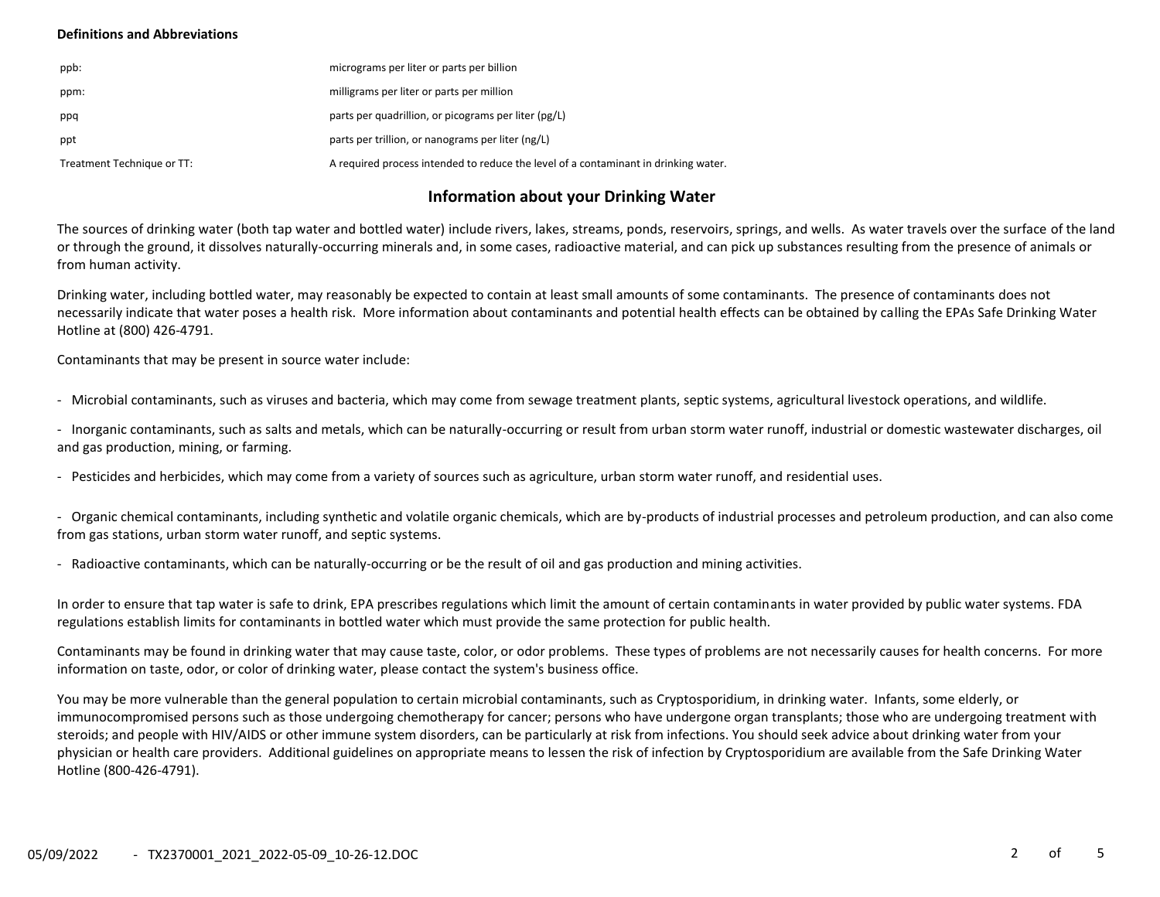### **Definitions and Abbreviations**

| ppb:                       | micrograms per liter or parts per billion                                           |
|----------------------------|-------------------------------------------------------------------------------------|
| ppm:                       | milligrams per liter or parts per million                                           |
| ppq                        | parts per quadrillion, or picograms per liter (pg/L)                                |
| ppt                        | parts per trillion, or nanograms per liter (ng/L)                                   |
| Treatment Technique or TT: | A required process intended to reduce the level of a contaminant in drinking water. |

## **Information about your Drinking Water**

The sources of drinking water (both tap water and bottled water) include rivers, lakes, streams, ponds, reservoirs, springs, and wells. As water travels over the surface of the land or through the ground, it dissolves naturally-occurring minerals and, in some cases, radioactive material, and can pick up substances resulting from the presence of animals or from human activity.

Drinking water, including bottled water, may reasonably be expected to contain at least small amounts of some contaminants. The presence of contaminants does not necessarily indicate that water poses a health risk. More information about contaminants and potential health effects can be obtained by calling the EPAs Safe Drinking Water Hotline at (800) 426-4791.

Contaminants that may be present in source water include:

- Microbial contaminants, such as viruses and bacteria, which may come from sewage treatment plants, septic systems, agricultural livestock operations, and wildlife.

- Inorganic contaminants, such as salts and metals, which can be naturally-occurring or result from urban storm water runoff, industrial or domestic wastewater discharges, oil and gas production, mining, or farming.

- Pesticides and herbicides, which may come from a variety of sources such as agriculture, urban storm water runoff, and residential uses.

- Organic chemical contaminants, including synthetic and volatile organic chemicals, which are by-products of industrial processes and petroleum production, and can also come from gas stations, urban storm water runoff, and septic systems.

- Radioactive contaminants, which can be naturally-occurring or be the result of oil and gas production and mining activities.

In order to ensure that tap water is safe to drink, EPA prescribes regulations which limit the amount of certain contaminants in water provided by public water systems. FDA regulations establish limits for contaminants in bottled water which must provide the same protection for public health.

Contaminants may be found in drinking water that may cause taste, color, or odor problems. These types of problems are not necessarily causes for health concerns. For more information on taste, odor, or color of drinking water, please contact the system's business office.

You may be more vulnerable than the general population to certain microbial contaminants, such as Cryptosporidium, in drinking water. Infants, some elderly, or immunocompromised persons such as those undergoing chemotherapy for cancer; persons who have undergone organ transplants; those who are undergoing treatment with steroids; and people with HIV/AIDS or other immune system disorders, can be particularly at risk from infections. You should seek advice about drinking water from your physician or health care providers. Additional guidelines on appropriate means to lessen the risk of infection by Cryptosporidium are available from the Safe Drinking Water Hotline (800-426-4791).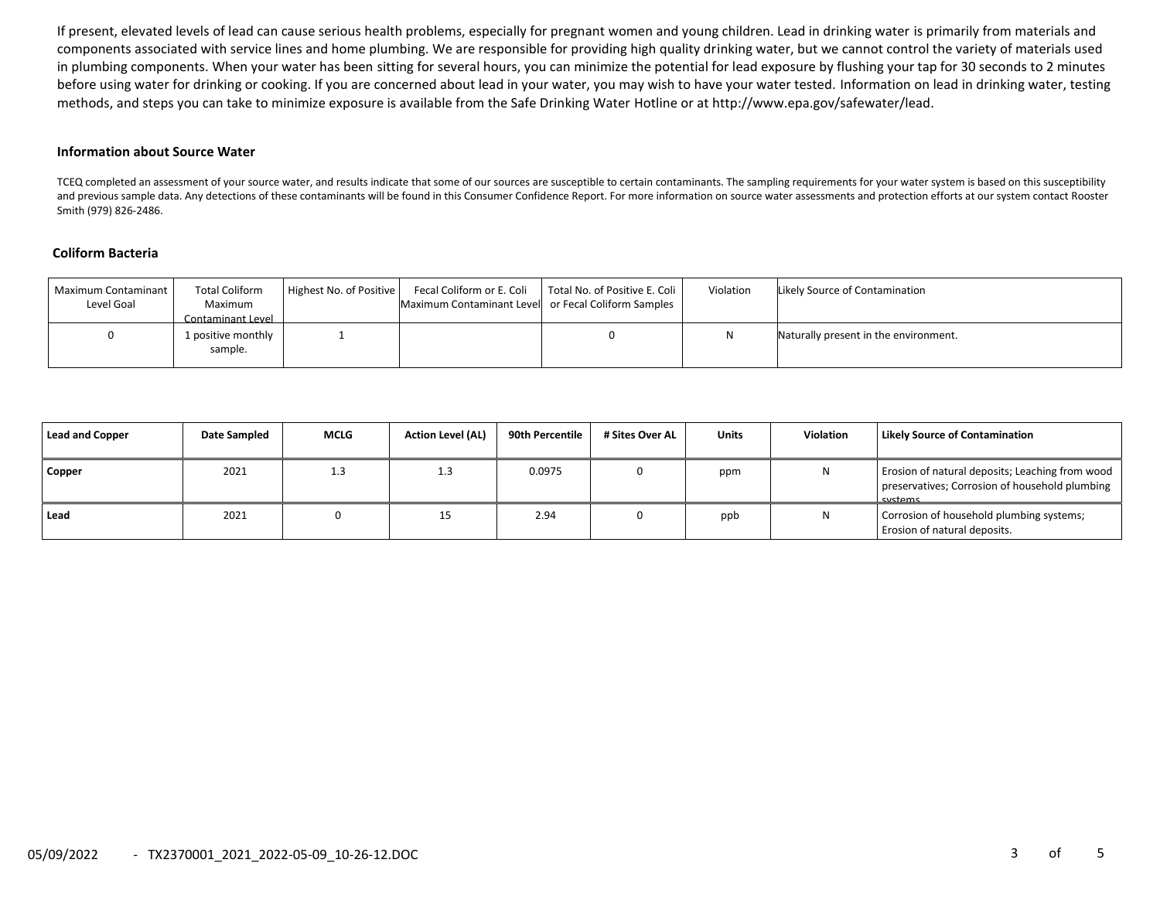If present, elevated levels of lead can cause serious health problems, especially for pregnant women and young children. Lead in drinking water is primarily from materials and components associated with service lines and home plumbing. We are responsible for providing high quality drinking water, but we cannot control the variety of materials used in plumbing components. When your water has been sitting for several hours, you can minimize the potential for lead exposure by flushing your tap for 30 seconds to 2 minutes before using water for drinking or cooking. If you are concerned about lead in your water, you may wish to have your water tested. Information on lead in drinking water, testing methods, and steps you can take to minimize exposure is available from the Safe Drinking Water Hotline or at http://www.epa.gov/safewater/lead.

#### **Information about Source Water**

TCEQ completed an assessment of your source water, and results indicate that some of our sources are susceptible to certain contaminants. The sampling requirements for your water system is based on this susceptibility and previous sample data. Any detections of these contaminants will be found in this Consumer Confidence Report. For more information on source water assessments and protection efforts at our system contact Rooster Smith (979) 826-2486.

#### **Coliform Bacteria**

| Maximum Contaminant<br>Level Goal | <b>Total Coliform</b><br>Maximum<br>Contaminant Level | Highest No. of Positive | Fecal Coliform or E. Coli<br>Maximum Contaminant Level or Fecal Coliform Samples | Total No. of Positive E. Coli | Violation | Likely Source of Contamination        |
|-----------------------------------|-------------------------------------------------------|-------------------------|----------------------------------------------------------------------------------|-------------------------------|-----------|---------------------------------------|
|                                   | 1 positive monthly<br>sample.                         |                         |                                                                                  |                               |           | Naturally present in the environment. |

| Lead and Copper | Date Sampled | <b>MCLG</b> | <b>Action Level (AL)</b> | 90th Percentile | # Sites Over AL | <b>Units</b> | <b>Violation</b> | Likely Source of Contamination                                                                               |
|-----------------|--------------|-------------|--------------------------|-----------------|-----------------|--------------|------------------|--------------------------------------------------------------------------------------------------------------|
| Copper          | 2021         | 1.3         | 1.3                      | 0.0975          |                 | ppm          |                  | Erosion of natural deposits; Leaching from wood<br>preservatives; Corrosion of household plumbing<br>cyctame |
| l Lead          | 2021         |             | ᅩ                        | 2.94            |                 | ppb          |                  | Corrosion of household plumbing systems;<br>Erosion of natural deposits.                                     |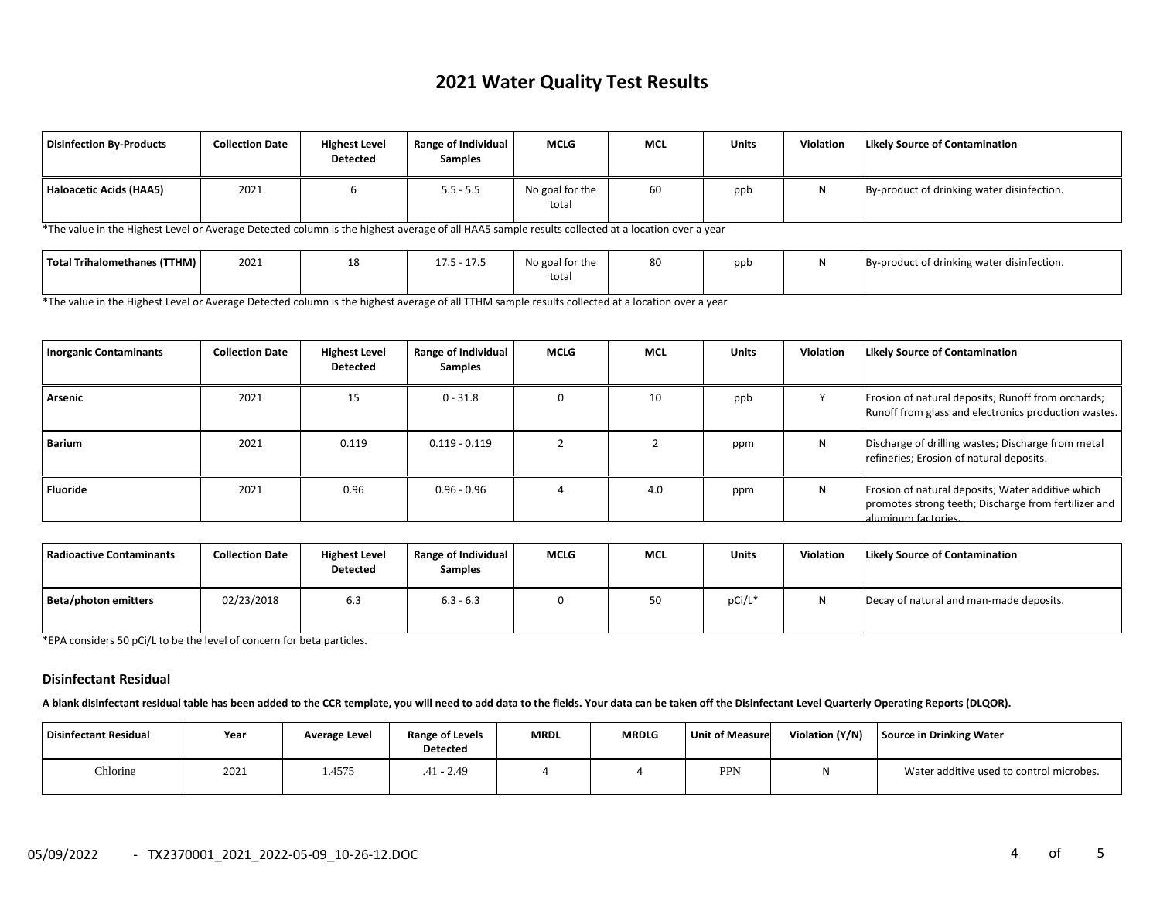# **2021 Water Quality Test Results**

| Disinfection By-Products | <b>Collection Date</b> | <b>Highest Level</b><br>Detected | Range of Individual<br><b>Samples</b> | <b>MCLG</b>              | <b>MCL</b> | <b>Units</b> | <b>Violation</b> | <b>Likely Source of Contamination</b>      |
|--------------------------|------------------------|----------------------------------|---------------------------------------|--------------------------|------------|--------------|------------------|--------------------------------------------|
| Haloacetic Acids (HAA5)  | 2021                   |                                  | $5.5 - 5.5$                           | No goal for the<br>total | 60         | ppb          |                  | By-product of drinking water disinfection. |

\*The value in the Highest Level or Average Detected column is the highest average of all HAA5 sample results collected at a location over a year

| Total Trihalomethanes (TTHM) | 2021 | $\sim$ $\sim$ $\sim$<br>17 F<br>ر. ، ۲ -<br>ن. ، ۲ | $\sim$<br>No goal for the<br>total | 80 | ppb | By-product of drinking water disinfection. |
|------------------------------|------|----------------------------------------------------|------------------------------------|----|-----|--------------------------------------------|
|                              |      |                                                    |                                    |    |     |                                            |

\*The value in the Highest Level or Average Detected column is the highest average of all TTHM sample results collected at a location over a year

| <b>Inorganic Contaminants</b> | <b>Collection Date</b> | <b>Highest Level</b><br><b>Detected</b> | Range of Individual<br><b>Samples</b> | <b>MCLG</b> | <b>MCL</b> | <b>Units</b> | Violation | <b>Likely Source of Contamination</b>                                                                                            |
|-------------------------------|------------------------|-----------------------------------------|---------------------------------------|-------------|------------|--------------|-----------|----------------------------------------------------------------------------------------------------------------------------------|
| Arsenic                       | 2021                   | 15                                      | $0 - 31.8$                            |             | 10         | ppb          |           | Erosion of natural deposits; Runoff from orchards;<br>Runoff from glass and electronics production wastes.                       |
| Barium                        | 2021                   | 0.119                                   | $0.119 - 0.119$                       |             |            | ppm          | N         | Discharge of drilling wastes; Discharge from metal<br>refineries; Erosion of natural deposits.                                   |
| <b>Fluoride</b>               | 2021                   | 0.96                                    | $0.96 - 0.96$                         |             | 4.0        | ppm          | N         | Erosion of natural deposits; Water additive which<br>promotes strong teeth; Discharge from fertilizer and<br>aluminum factories. |

| Radioactive Contaminants | <b>Collection Date</b> | <b>Highest Level</b><br><b>Detected</b> | <b>Range of Individual</b><br><b>Samples</b> | <b>MCLG</b> | <b>MCL</b> | <b>Units</b> | Violation | <b>Likely Source of Contamination</b>   |
|--------------------------|------------------------|-----------------------------------------|----------------------------------------------|-------------|------------|--------------|-----------|-----------------------------------------|
| Beta/photon emitters     | 02/23/2018             | 6.3                                     | $6.3 - 6.3$                                  |             | 50         | pCi/L*       |           | Decay of natural and man-made deposits. |

\*EPA considers 50 pCi/L to be the level of concern for beta particles.

#### **Disinfectant Residual**

**A blank disinfectant residual table has been added to the CCR template, you will need to add data to the fields. Your data can be taken off the Disinfectant Level Quarterly Operating Reports (DLQOR).**

| Disinfectant Residual | Year | Average Level | Range of Levels<br><b>Detected</b> | <b>MRDL</b> | <b>MRDLG</b> | Unit of Measure | Violation (Y/N) | Source in Drinking Water                 |
|-----------------------|------|---------------|------------------------------------|-------------|--------------|-----------------|-----------------|------------------------------------------|
| Chlorine              | 2021 | . 4575        | $.41 - 2.49$                       |             |              | <b>PPN</b>      |                 | Water additive used to control microbes. |